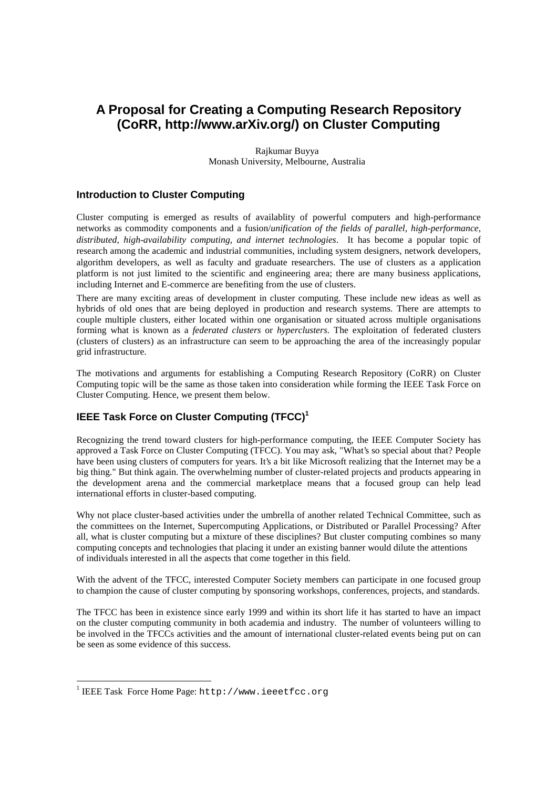# **A Proposal for Creating a Computing Research Repository (CoRR, http://www.arXiv.org/) on Cluster Computing**

Rajkumar Buyya Monash University, Melbourne, Australia

## **Introduction to Cluster Computing**

Cluster computing is emerged as results of availablity of powerful computers and high-performance networks as commodity components and a fusion/*unification of the fields of parallel, high-performance, distributed, high-availability computing, and internet technologies*. It has become a popular topic of research among the academic and industrial communities, including system designers, network developers, algorithm developers, as well as faculty and graduate researchers. The use of clusters as a application platform is not just limited to the scientific and engineering area; there are many business applications, including Internet and E-commerce are benefiting from the use of clusters.

There are many exciting areas of development in cluster computing. These include new ideas as well as hybrids of old ones that are being deployed in production and research systems. There are attempts to couple multiple clusters, either located within one organisation or situated across multiple organisations forming what is known as a *federated clusters* or *hyperclusters*. The exploitation of federated clusters (clusters of clusters) as an infrastructure can seem to be approaching the area of the increasingly popular grid infrastructure.

The motivations and arguments for establishing a Computing Research Repository (CoRR) on Cluster Computing topic will be the same as those taken into consideration while forming the IEEE Task Force on Cluster Computing. Hence, we present them below.

# **IEEE Task Force on Cluster Computing (TFCC)<sup>1</sup>**

Recognizing the trend toward clusters for high-performance computing, the IEEE Computer Society has approved a Task Force on Cluster Computing (TFCC). You may ask, "What's so special about that? People have been using clusters of computers for years. It's a bit like Microsoft realizing that the Internet may be a big thing." But think again. The overwhelming number of cluster-related projects and products appearing in the development arena and the commercial marketplace means that a focused group can help lead international efforts in cluster-based computing.

Why not place cluster-based activities under the umbrella of another related Technical Committee, such as the committees on the Internet, Supercomputing Applications, or Distributed or Parallel Processing? After all, what is cluster computing but a mixture of these disciplines? But cluster computing combines so many computing concepts and technologies that placing it under an existing banner would dilute the attentions of individuals interested in all the aspects that come together in this field.

With the advent of the TFCC, interested Computer Society members can participate in one focused group to champion the cause of cluster computing by sponsoring workshops, conferences, projects, and standards.

The TFCC has been in existence since early 1999 and within its short life it has started to have an impact on the cluster computing community in both academia and industry. The number of volunteers willing to be involved in the TFCCs activities and the amount of international cluster-related events being put on can be seen as some evidence of this success.

-

<sup>&</sup>lt;sup>1</sup> IEEE Task Force Home Page: http://www.ieeetfcc.org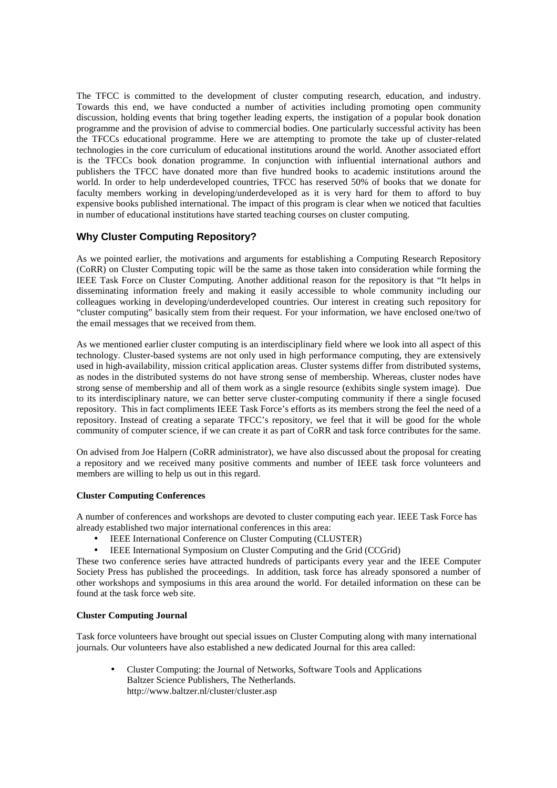The TFCC is committed to the development of cluster computing research, education, and industry. Towards this end, we have conducted a number of activities including promoting open community discussion, holding events that bring together leading experts, the instigation of a popular book donation programme and the provision of advise to commercial bodies. One particularly successful activity has been the TFCCs educational programme. Here we are attempting to promote the take up of cluster-related technologies in the core curriculum of educational institutions around the world. Another associated effort is the TFCCs book donation programme. In conjunction with influential international authors and publishers the TFCC have donated more than five hundred books to academic institutions around the world. In order to help underdeveloped countries, TFCC has reserved 50% of books that we donate for faculty members working in developing/underdeveloped as it is very hard for them to afford to buy expensive books published international. The impact of this program is clear when we noticed that faculties in number of educational institutions have started teaching courses on cluster computing.

# **Why Cluster Computing Repository?**

As we pointed earlier, the motivations and arguments for establishing a Computing Research Repository (CoRR) on Cluster Computing topic will be the same as those taken into consideration while forming the IEEE Task Force on Cluster Computing. Another additional reason for the repository is that "It helps in disseminating information freely and making it easily accessible to whole community including our colleagues working in developing/underdeveloped countries. Our interest in creating such repository for "cluster computing" basically stem from their request. For your information, we have enclosed one/two of the email messages that we received from them.

As we mentioned earlier cluster computing is an interdisciplinary field where we look into all aspect of this technology. Cluster-based systems are not only used in high performance computing, they are extensively used in high-availability, mission critical application areas. Cluster systems differ from distributed systems, as nodes in the distributed systems do not have strong sense of membership. Whereas, cluster nodes have strong sense of membership and all of them work as a single resource (exhibits single system image). Due to its interdisciplinary nature, we can better serve cluster-computing community if there a single focused repository. This in fact compliments IEEE Task Force's efforts as its members strong the feel the need of a repository. Instead of creating a separate TFCC's repository, we feel that it will be good for the whole community of computer science, if we can create it as part of CoRR and task force contributes for the same.

On advised from Joe Halpern (CoRR administrator), we have also discussed about the proposal for creating a repository and we received many positive comments and number of IEEE task force volunteers and members are willing to help us out in this regard.

## **Cluster Computing Conferences**

A number of conferences and workshops are devoted to cluster computing each year. IEEE Task Force has already established two major international conferences in this area:

- IEEE International Conference on Cluster Computing (CLUSTER)
- IEEE International Symposium on Cluster Computing and the Grid (CCGrid)

These two conference series have attracted hundreds of participants every year and the IEEE Computer Society Press has published the proceedings. In addition, task force has already sponsored a number of other workshops and symposiums in this area around the world. For detailed information on these can be found at the task force web site.

## **Cluster Computing Journal**

Task force volunteers have brought out special issues on Cluster Computing along with many international journals. Our volunteers have also established a new dedicated Journal for this area called:

• Cluster Computing: the Journal of Networks, Software Tools and Applications Baltzer Science Publishers, The Netherlands. http://www.baltzer.nl/cluster/cluster.asp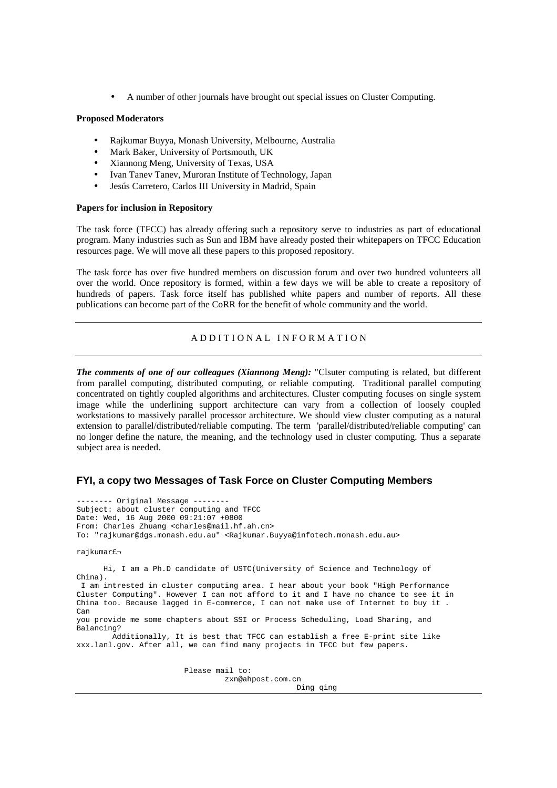• A number of other journals have brought out special issues on Cluster Computing.

#### **Proposed Moderators**

- Rajkumar Buyya, Monash University, Melbourne, Australia
- Mark Baker, University of Portsmouth, UK
- Xiannong Meng, University of Texas, USA
- Ivan Tanev Tanev, Muroran Institute of Technology, Japan
- Jesús Carretero, Carlos III University in Madrid, Spain

#### **Papers for inclusion in Repository**

The task force (TFCC) has already offering such a repository serve to industries as part of educational program. Many industries such as Sun and IBM have already posted their whitepapers on TFCC Education resources page. We will move all these papers to this proposed repository.

The task force has over five hundred members on discussion forum and over two hundred volunteers all over the world. Once repository is formed, within a few days we will be able to create a repository of hundreds of papers. Task force itself has published white papers and number of reports. All these publications can become part of the CoRR for the benefit of whole community and the world.

#### A D D I T I O N A L I N F O R M A T I O N

*The comments of one of our colleagues (Xiannong Meng):* "Clsuter computing is related, but different from parallel computing, distributed computing, or reliable computing. Traditional parallel computing concentrated on tightly coupled algorithms and architectures. Cluster computing focuses on single system image while the underlining support architecture can vary from a collection of loosely coupled workstations to massively parallel processor architecture. We should view cluster computing as a natural extension to parallel/distributed/reliable computing. The term 'parallel/distributed/reliable computing' can no longer define the nature, the meaning, and the technology used in cluster computing. Thus a separate subject area is needed.

### **FYI, a copy two Messages of Task Force on Cluster Computing Members**

-------- Original Message -------- Subject: about cluster computing and TFCC Date: Wed, 16 Aug 2000 09:21:07 +0800 From: Charles Zhuang <charles@mail.hf.ah.cn> To: "rajkumar@dgs.monash.edu.au" <Rajkumar.Buyya@infotech.monash.edu.au> rajkumar£¬ Hi, I am a Ph.D candidate of USTC(University of Science and Technology of China). I am intrested in cluster computing area. I hear about your book "High Performance Cluster Computing". However I can not afford to it and I have no chance to see it in China too. Because lagged in E-commerce, I can not make use of Internet to buy it . Can you provide me some chapters about SSI or Process Scheduling, Load Sharing, and Balancing? Additionally, It is best that TFCC can establish a free E-print site like xxx.lanl.gov. After all, we can find many projects in TFCC but few papers.

Please mail to:

zxn@ahpost.com.cn

Ding qing